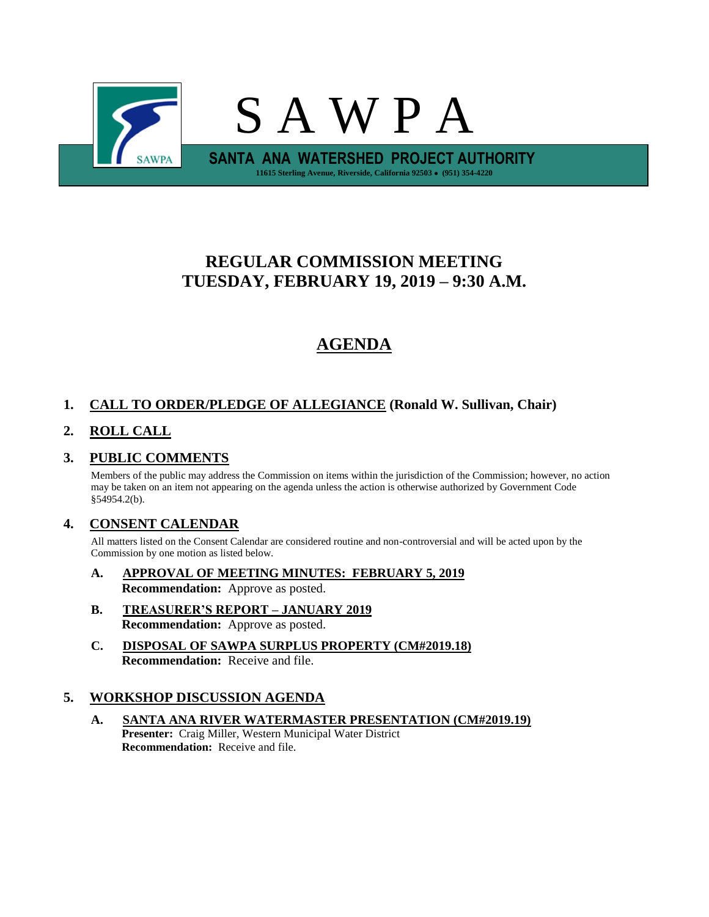

## **REGULAR COMMISSION MEETING TUESDAY, FEBRUARY 19, 2019 – 9:30 A.M.**

# **AGENDA**

## **1. CALL TO ORDER/PLEDGE OF ALLEGIANCE (Ronald W. Sullivan, Chair)**

### **2. ROLL CALL**

### **3. PUBLIC COMMENTS**

Members of the public may address the Commission on items within the jurisdiction of the Commission; however, no action may be taken on an item not appearing on the agenda unless the action is otherwise authorized by Government Code §54954.2(b).

### **4. CONSENT CALENDAR**

All matters listed on the Consent Calendar are considered routine and non-controversial and will be acted upon by the Commission by one motion as listed below.

- **A. APPROVAL OF MEETING MINUTES: FEBRUARY 5, 2019 Recommendation:** Approve as posted.
- **B. TREASURER'S REPORT – JANUARY 2019 Recommendation:** Approve as posted.
- **C. DISPOSAL OF SAWPA SURPLUS PROPERTY (CM#2019.18) Recommendation:** Receive and file.

### **5. WORKSHOP DISCUSSION AGENDA**

**A. SANTA ANA RIVER WATERMASTER PRESENTATION (CM#2019.19) Presenter:** Craig Miller, Western Municipal Water District **Recommendation:** Receive and file.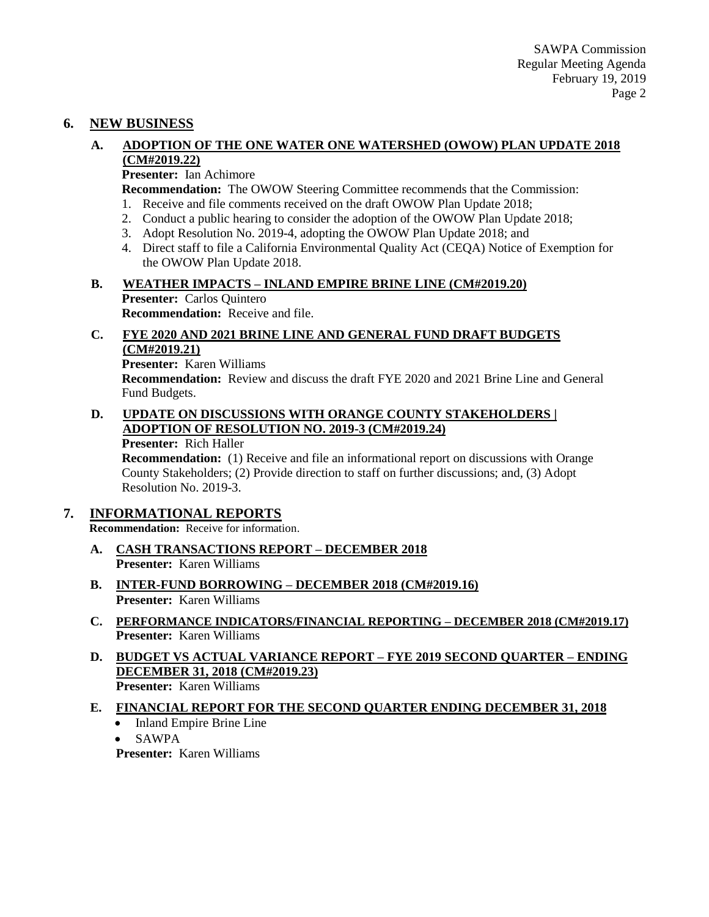### **6. NEW BUSINESS**

#### **A. ADOPTION OF THE ONE WATER ONE WATERSHED (OWOW) PLAN UPDATE 2018 (CM#2019.22)**

**Presenter:** Ian Achimore

**Recommendation:** The OWOW Steering Committee recommends that the Commission:

- 1. Receive and file comments received on the draft OWOW Plan Update 2018;
- 2. Conduct a public hearing to consider the adoption of the OWOW Plan Update 2018;
- 3. Adopt Resolution No. 2019-4, adopting the OWOW Plan Update 2018; and
- 4. Direct staff to file a California Environmental Quality Act (CEQA) Notice of Exemption for the OWOW Plan Update 2018.

### **B. WEATHER IMPACTS – INLAND EMPIRE BRINE LINE (CM#2019.20) Presenter:** Carlos Quintero

**Recommendation:** Receive and file.

### **C. FYE 2020 AND 2021 BRINE LINE AND GENERAL FUND DRAFT BUDGETS (CM#2019.21)**

**Presenter:** Karen Williams **Recommendation:** Review and discuss the draft FYE 2020 and 2021 Brine Line and General Fund Budgets.

#### **D. UPDATE ON DISCUSSIONS WITH ORANGE COUNTY STAKEHOLDERS | ADOPTION OF RESOLUTION NO. 2019-3 (CM#2019.24)**

**Presenter:** Rich Haller

**Recommendation:** (1) Receive and file an informational report on discussions with Orange County Stakeholders; (2) Provide direction to staff on further discussions; and, (3) Adopt Resolution No. 2019-3.

### **7. INFORMATIONAL REPORTS**

**Recommendation:** Receive for information.

- **A. CASH TRANSACTIONS REPORT – DECEMBER 2018 Presenter:** Karen Williams
- **B. INTER-FUND BORROWING – DECEMBER 2018 (CM#2019.16) Presenter:** Karen Williams
- **C. PERFORMANCE INDICATORS/FINANCIAL REPORTING – DECEMBER 2018 (CM#2019.17) Presenter:** Karen Williams
- **D. BUDGET VS ACTUAL VARIANCE REPORT – FYE 2019 SECOND QUARTER – ENDING DECEMBER 31, 2018 (CM#2019.23) Presenter:** Karen Williams
- **E. FINANCIAL REPORT FOR THE SECOND QUARTER ENDING DECEMBER 31, 2018**
	- Inland Empire Brine Line
	- SAWPA

**Presenter:** Karen Williams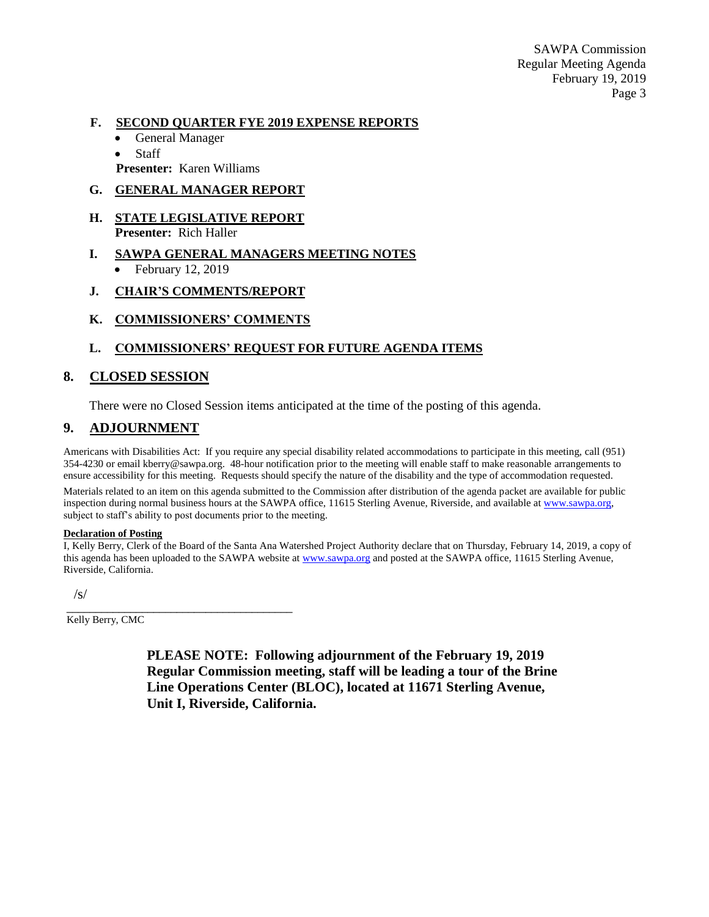SAWPA Commission Regular Meeting Agenda February 19, 2019 Page 3

#### **F. SECOND QUARTER FYE 2019 EXPENSE REPORTS**

- General Manager
- **Staff**
- **Presenter:** Karen Williams

#### **G. GENERAL MANAGER REPORT**

- **H. STATE LEGISLATIVE REPORT Presenter:** Rich Haller
- **I. SAWPA GENERAL MANAGERS MEETING NOTES** • February 12, 2019
- **J. CHAIR'S COMMENTS/REPORT**
- **K. COMMISSIONERS' COMMENTS**

### **L. COMMISSIONERS' REQUEST FOR FUTURE AGENDA ITEMS**

### **8. CLOSED SESSION**

There were no Closed Session items anticipated at the time of the posting of this agenda.

### **9. ADJOURNMENT**

Americans with Disabilities Act: If you require any special disability related accommodations to participate in this meeting, call (951) 354-4230 or email kberry@sawpa.org. 48-hour notification prior to the meeting will enable staff to make reasonable arrangements to ensure accessibility for this meeting. Requests should specify the nature of the disability and the type of accommodation requested.

Materials related to an item on this agenda submitted to the Commission after distribution of the agenda packet are available for public inspection during normal business hours at the SAWPA office, 11615 Sterling Avenue, Riverside, and available a[t www.sawpa.org,](http://www.sawpa.org/) subject to staff's ability to post documents prior to the meeting.

#### **Declaration of Posting**

I, Kelly Berry, Clerk of the Board of the Santa Ana Watershed Project Authority declare that on Thursday, February 14, 2019, a copy of this agenda has been uploaded to the SAWPA website at [www.sawpa.org](http://www.sawpa.org/) and posted at the SAWPA office, 11615 Sterling Avenue, Riverside, California.

/s/

Kelly Berry, CMC

\_\_\_\_\_\_\_\_\_\_\_\_\_\_\_\_\_\_\_\_\_\_\_\_\_\_\_\_\_\_\_\_\_\_\_\_\_\_\_

**PLEASE NOTE: Following adjournment of the February 19, 2019 Regular Commission meeting, staff will be leading a tour of the Brine Line Operations Center (BLOC), located at 11671 Sterling Avenue, Unit I, Riverside, California.**